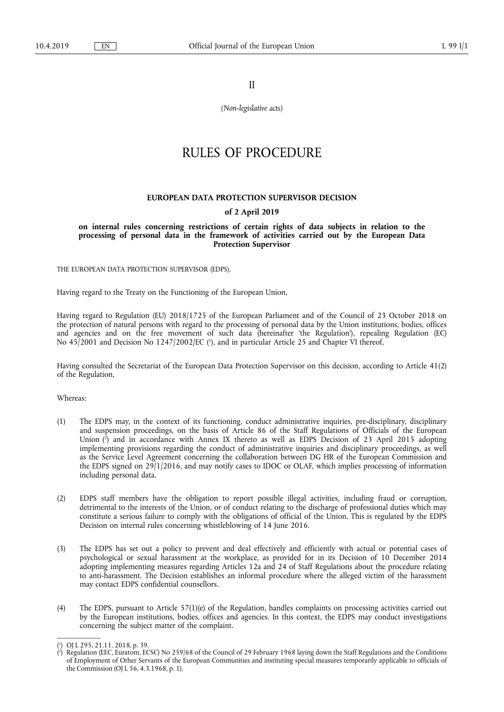II

*(Non-legislative acts)* 

# RULES OF PROCEDURE

## **EUROPEAN DATA PROTECTION SUPERVISOR DECISION**

# **of 2 April 2019**

**on internal rules concerning restrictions of certain rights of data subjects in relation to the processing of personal data in the framework of activities carried out by the European Data Protection Supervisor** 

THE EUROPEAN DATA PROTECTION SUPERVISOR (EDPS),

Having regard to the Treaty on the Functioning of the European Union,

Having regard to Regulation (EU) 2018/1725 of the European Parliament and of the Council of 23 October 2018 on the protection of natural persons with regard to the processing of personal data by the Union institutions, bodies, offices and agencies and on the free movement of such data (hereinafter 'the Regulation'), repealing Regulation (EC) No 45/2001 and Decision No 1247/2002/EC ( 1 ), and in particular Article 25 and Chapter VI thereof,

Having consulted the Secretariat of the European Data Protection Supervisor on this decision, according to Article 41(2) of the Regulation,

Whereas:

- (1) The EDPS may, in the context of its functioning, conduct administrative inquiries, pre-disciplinary, disciplinary and suspension proceedings, on the basis of Article 86 of the Staff Regulations of Officials of the European Union ( 2 ) and in accordance with Annex IX thereto as well as EDPS Decision of 23 April 2015 adopting implementing provisions regarding the conduct of administrative inquiries and disciplinary proceedings, as well as the Service Level Agreement concerning the collaboration between DG HR of the European Commission and the EDPS signed on 29/1/2016, and may notify cases to IDOC or OLAF, which implies processing of information including personal data.
- (2) EDPS staff members have the obligation to report possible illegal activities, including fraud or corruption, detrimental to the interests of the Union, or of conduct relating to the discharge of professional duties which may constitute a serious failure to comply with the obligations of official of the Union. This is regulated by the EDPS Decision on internal rules concerning whistleblowing of 14 June 2016.
- (3) The EDPS has set out a policy to prevent and deal effectively and efficiently with actual or potential cases of psychological or sexual harassment at the workplace, as provided for in its Decision of 10 December 2014 adopting implementing measures regarding Articles 12a and 24 of Staff Regulations about the procedure relating to anti-harassment. The Decision establishes an informal procedure where the alleged victim of the harassment may contact EDPS confidential counsellors.
- (4) The EDPS, pursuant to Article 57(1)(e) of the Regulation, handles complaints on processing activities carried out by the European institutions, bodies, offices and agencies. In this context, the EDPS may conduct investigations concerning the subject matter of the complaint.

<sup>(</sup> 1 ) OJ L 295, 21.11. 2018, p. 39.

<sup>(</sup> 2 ) Regulation (EEC, Euratom, ECSC) No 259/68 of the Council of 29 February 1968 laying down the Staff Regulations and the Conditions of Employment of Other Servants of the European Communities and instituting special measures temporarily applicable to officials of the Commission (OJ L 56, 4.3.1968, p. 1).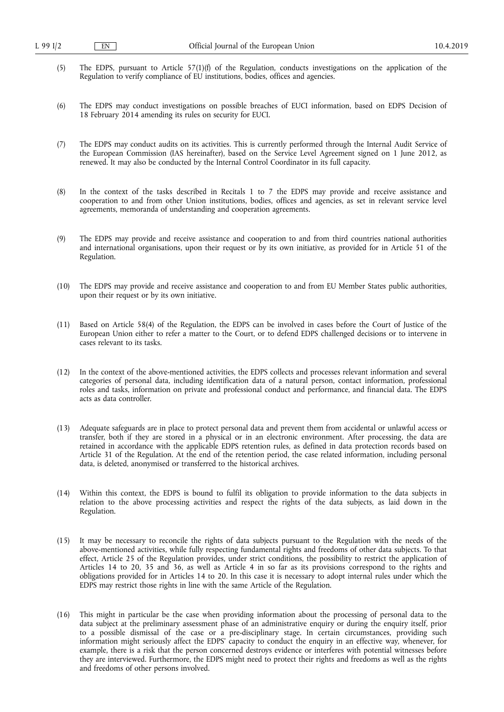- (5) The EDPS, pursuant to Article 57(1)(f) of the Regulation, conducts investigations on the application of the Regulation to verify compliance of EU institutions, bodies, offices and agencies.
- (6) The EDPS may conduct investigations on possible breaches of EUCI information, based on EDPS Decision of 18 February 2014 amending its rules on security for EUCI.
- (7) The EDPS may conduct audits on its activities. This is currently performed through the Internal Audit Service of the European Commission (IAS hereinafter), based on the Service Level Agreement signed on 1 June 2012, as renewed. It may also be conducted by the Internal Control Coordinator in its full capacity.
- (8) In the context of the tasks described in Recitals 1 to 7 the EDPS may provide and receive assistance and cooperation to and from other Union institutions, bodies, offices and agencies, as set in relevant service level agreements, memoranda of understanding and cooperation agreements.
- (9) The EDPS may provide and receive assistance and cooperation to and from third countries national authorities and international organisations, upon their request or by its own initiative, as provided for in Article 51 of the Regulation.
- (10) The EDPS may provide and receive assistance and cooperation to and from EU Member States public authorities, upon their request or by its own initiative.
- (11) Based on Article 58(4) of the Regulation, the EDPS can be involved in cases before the Court of Justice of the European Union either to refer a matter to the Court, or to defend EDPS challenged decisions or to intervene in cases relevant to its tasks.
- (12) In the context of the above-mentioned activities, the EDPS collects and processes relevant information and several categories of personal data, including identification data of a natural person, contact information, professional roles and tasks, information on private and professional conduct and performance, and financial data. The EDPS acts as data controller.
- (13) Adequate safeguards are in place to protect personal data and prevent them from accidental or unlawful access or transfer, both if they are stored in a physical or in an electronic environment. After processing, the data are retained in accordance with the applicable EDPS retention rules, as defined in data protection records based on Article 31 of the Regulation. At the end of the retention period, the case related information, including personal data, is deleted, anonymised or transferred to the historical archives.
- (14) Within this context, the EDPS is bound to fulfil its obligation to provide information to the data subjects in relation to the above processing activities and respect the rights of the data subjects, as laid down in the Regulation.
- (15) It may be necessary to reconcile the rights of data subjects pursuant to the Regulation with the needs of the above-mentioned activities, while fully respecting fundamental rights and freedoms of other data subjects. To that effect, Article 25 of the Regulation provides, under strict conditions, the possibility to restrict the application of Articles 14 to 20, 35 and 36, as well as Article 4 in so far as its provisions correspond to the rights and obligations provided for in Articles 14 to 20. In this case it is necessary to adopt internal rules under which the EDPS may restrict those rights in line with the same Article of the Regulation.
- (16) This might in particular be the case when providing information about the processing of personal data to the data subject at the preliminary assessment phase of an administrative enquiry or during the enquiry itself, prior to a possible dismissal of the case or a pre-disciplinary stage. In certain circumstances, providing such information might seriously affect the EDPS' capacity to conduct the enquiry in an effective way, whenever, for example, there is a risk that the person concerned destroys evidence or interferes with potential witnesses before they are interviewed. Furthermore, the EDPS might need to protect their rights and freedoms as well as the rights and freedoms of other persons involved.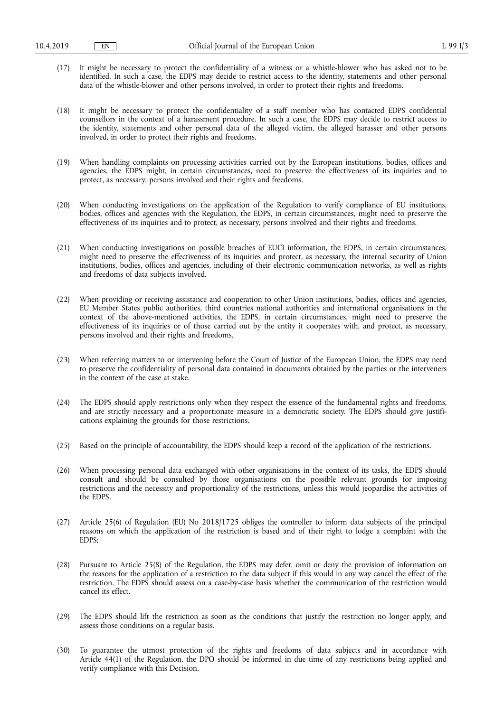- (17) It might be necessary to protect the confidentiality of a witness or a whistle-blower who has asked not to be identified. In such a case, the EDPS may decide to restrict access to the identity, statements and other personal data of the whistle-blower and other persons involved, in order to protect their rights and freedoms.
- (18) It might be necessary to protect the confidentiality of a staff member who has contacted EDPS confidential counsellors in the context of a harassment procedure. In such a case, the EDPS may decide to restrict access to the identity, statements and other personal data of the alleged victim, the alleged harasser and other persons involved, in order to protect their rights and freedoms.
- (19) When handling complaints on processing activities carried out by the European institutions, bodies, offices and agencies, the EDPS might, in certain circumstances, need to preserve the effectiveness of its inquiries and to protect, as necessary, persons involved and their rights and freedoms.
- (20) When conducting investigations on the application of the Regulation to verify compliance of EU institutions, bodies, offices and agencies with the Regulation, the EDPS, in certain circumstances, might need to preserve the effectiveness of its inquiries and to protect, as necessary, persons involved and their rights and freedoms.
- (21) When conducting investigations on possible breaches of EUCI information, the EDPS, in certain circumstances, might need to preserve the effectiveness of its inquiries and protect, as necessary, the internal security of Union institutions, bodies, offices and agencies, including of their electronic communication networks, as well as rights and freedoms of data subjects involved.
- (22) When providing or receiving assistance and cooperation to other Union institutions, bodies, offices and agencies, EU Member States public authorities, third countries national authorities and international organisations in the context of the above-mentioned activities, the EDPS, in certain circumstances, might need to preserve the effectiveness of its inquiries or of those carried out by the entity it cooperates with, and protect, as necessary, persons involved and their rights and freedoms.
- (23) When referring matters to or intervening before the Court of Justice of the European Union, the EDPS may need to preserve the confidentiality of personal data contained in documents obtained by the parties or the interveners in the context of the case at stake.
- (24) The EDPS should apply restrictions only when they respect the essence of the fundamental rights and freedoms, and are strictly necessary and a proportionate measure in a democratic society. The EDPS should give justifications explaining the grounds for those restrictions.
- (25) Based on the principle of accountability, the EDPS should keep a record of the application of the restrictions.
- (26) When processing personal data exchanged with other organisations in the context of its tasks, the EDPS should consult and should be consulted by those organisations on the possible relevant grounds for imposing restrictions and the necessity and proportionality of the restrictions, unless this would jeopardise the activities of the EDPS.
- (27) Article 25(6) of Regulation (EU) No 2018/1725 obliges the controller to inform data subjects of the principal reasons on which the application of the restriction is based and of their right to lodge a complaint with the EDPS;
- (28) Pursuant to Article 25(8) of the Regulation, the EDPS may defer, omit or deny the provision of information on the reasons for the application of a restriction to the data subject if this would in any way cancel the effect of the restriction. The EDPS should assess on a case-by-case basis whether the communication of the restriction would cancel its effect.
- (29) The EDPS should lift the restriction as soon as the conditions that justify the restriction no longer apply, and assess those conditions on a regular basis.
- (30) To guarantee the utmost protection of the rights and freedoms of data subjects and in accordance with Article 44(1) of the Regulation, the DPO should be informed in due time of any restrictions being applied and verify compliance with this Decision.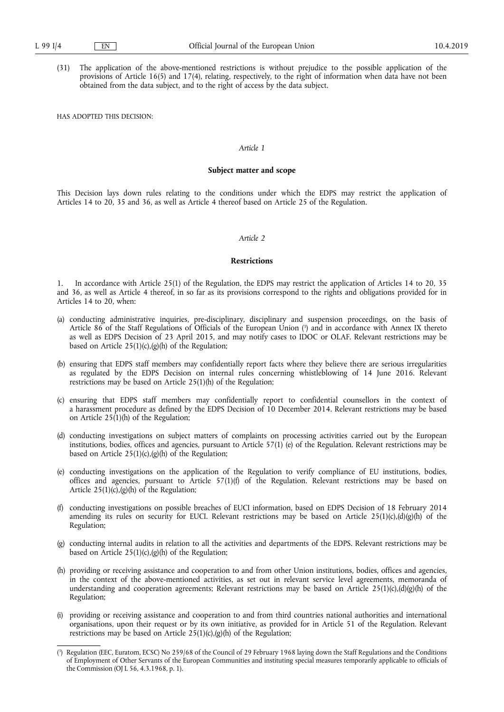(31) The application of the above-mentioned restrictions is without prejudice to the possible application of the provisions of Article 16(5) and 17(4), relating, respectively, to the right of information when data have not been obtained from the data subject, and to the right of access by the data subject.

HAS ADOPTED THIS DECISION:

# *Article 1*

#### **Subject matter and scope**

This Decision lays down rules relating to the conditions under which the EDPS may restrict the application of Articles 14 to 20, 35 and 36, as well as Article 4 thereof based on Article 25 of the Regulation.

# *Article 2*

#### **Restrictions**

1. In accordance with Article 25(1) of the Regulation, the EDPS may restrict the application of Articles 14 to 20, 35 and 36, as well as Article 4 thereof, in so far as its provisions correspond to the rights and obligations provided for in Articles 14 to 20, when:

- (a) conducting administrative inquiries, pre-disciplinary, disciplinary and suspension proceedings, on the basis of Article 86 of the Staff Regulations of Officials of the European Union ( 3 ) and in accordance with Annex IX thereto as well as EDPS Decision of 23 April 2015, and may notify cases to IDOC or OLAF. Relevant restrictions may be based on Article  $25(1)(c),(g)(h)$  of the Regulation;
- (b) ensuring that EDPS staff members may confidentially report facts where they believe there are serious irregularities as regulated by the EDPS Decision on internal rules concerning whistleblowing of 14 June 2016. Relevant restrictions may be based on Article 25(1)(h) of the Regulation;
- (c) ensuring that EDPS staff members may confidentially report to confidential counsellors in the context of a harassment procedure as defined by the EDPS Decision of 10 December 2014. Relevant restrictions may be based on Article  $25(1)$ (h) of the Regulation;
- (d) conducting investigations on subject matters of complaints on processing activities carried out by the European institutions, bodies, offices and agencies, pursuant to Article 57(1) (e) of the Regulation. Relevant restrictions may be based on Article  $25(1)(c),(g)(h)$  of the Regulation;
- (e) conducting investigations on the application of the Regulation to verify compliance of EU institutions, bodies, offices and agencies, pursuant to Article 57(1)(f) of the Regulation. Relevant restrictions may be based on Article  $25(1)(c)$ , (g)(h) of the Regulation;
- (f) conducting investigations on possible breaches of EUCI information, based on EDPS Decision of 18 February 2014 amending its rules on security for EUCI. Relevant restrictions may be based on Article  $25(1)(c),(d)(g)(h)$  of the Regulation;
- (g) conducting internal audits in relation to all the activities and departments of the EDPS. Relevant restrictions may be based on Article  $25(1)(c),(g)(h)$  of the Regulation;
- (h) providing or receiving assistance and cooperation to and from other Union institutions, bodies, offices and agencies, in the context of the above-mentioned activities, as set out in relevant service level agreements, memoranda of understanding and cooperation agreements; Relevant restrictions may be based on Article 25(1)(c),(d)(g)(h) of the Regulation;
- (i) providing or receiving assistance and cooperation to and from third countries national authorities and international organisations, upon their request or by its own initiative, as provided for in Article 51 of the Regulation. Relevant restrictions may be based on Article 25(1)(c),(g)(h) of the Regulation;

<sup>(</sup> 3 ) Regulation (EEC, Euratom, ECSC) No 259/68 of the Council of 29 February 1968 laying down the Staff Regulations and the Conditions of Employment of Other Servants of the European Communities and instituting special measures temporarily applicable to officials of the Commission (OJ L 56, 4.3.1968, p. 1).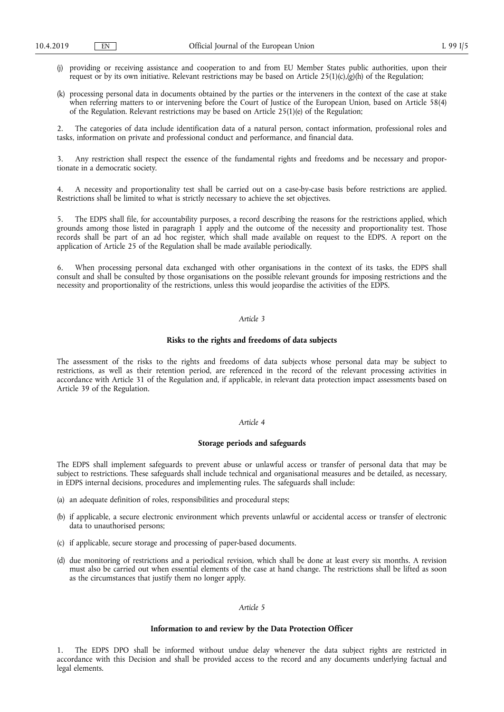- (j) providing or receiving assistance and cooperation to and from EU Member States public authorities, upon their request or by its own initiative. Relevant restrictions may be based on Article 25(1)(c),(g)(h) of the Regulation;
- (k) processing personal data in documents obtained by the parties or the interveners in the context of the case at stake when referring matters to or intervening before the Court of Justice of the European Union, based on Article 58(4) of the Regulation. Relevant restrictions may be based on Article 25(1)(e) of the Regulation;

2. The categories of data include identification data of a natural person, contact information, professional roles and tasks, information on private and professional conduct and performance, and financial data.

3. Any restriction shall respect the essence of the fundamental rights and freedoms and be necessary and proportionate in a democratic society.

4. A necessity and proportionality test shall be carried out on a case-by-case basis before restrictions are applied. Restrictions shall be limited to what is strictly necessary to achieve the set objectives.

5. The EDPS shall file, for accountability purposes, a record describing the reasons for the restrictions applied, which grounds among those listed in paragraph 1 apply and the outcome of the necessity and proportionality test. Those records shall be part of an ad hoc register, which shall made available on request to the EDPS. A report on the application of Article 25 of the Regulation shall be made available periodically.

6. When processing personal data exchanged with other organisations in the context of its tasks, the EDPS shall consult and shall be consulted by those organisations on the possible relevant grounds for imposing restrictions and the necessity and proportionality of the restrictions, unless this would jeopardise the activities of the EDPS.

# *Article 3*

# **Risks to the rights and freedoms of data subjects**

The assessment of the risks to the rights and freedoms of data subjects whose personal data may be subject to restrictions, as well as their retention period, are referenced in the record of the relevant processing activities in accordance with Article 31 of the Regulation and, if applicable, in relevant data protection impact assessments based on Article 39 of the Regulation.

#### *Article 4*

#### **Storage periods and safeguards**

The EDPS shall implement safeguards to prevent abuse or unlawful access or transfer of personal data that may be subject to restrictions. These safeguards shall include technical and organisational measures and be detailed, as necessary, in EDPS internal decisions, procedures and implementing rules. The safeguards shall include:

- (a) an adequate definition of roles, responsibilities and procedural steps;
- (b) if applicable, a secure electronic environment which prevents unlawful or accidental access or transfer of electronic data to unauthorised persons;
- (c) if applicable, secure storage and processing of paper-based documents.
- (d) due monitoring of restrictions and a periodical revision, which shall be done at least every six months. A revision must also be carried out when essential elements of the case at hand change. The restrictions shall be lifted as soon as the circumstances that justify them no longer apply.

# *Article 5*

#### **Information to and review by the Data Protection Officer**

1. The EDPS DPO shall be informed without undue delay whenever the data subject rights are restricted in accordance with this Decision and shall be provided access to the record and any documents underlying factual and legal elements.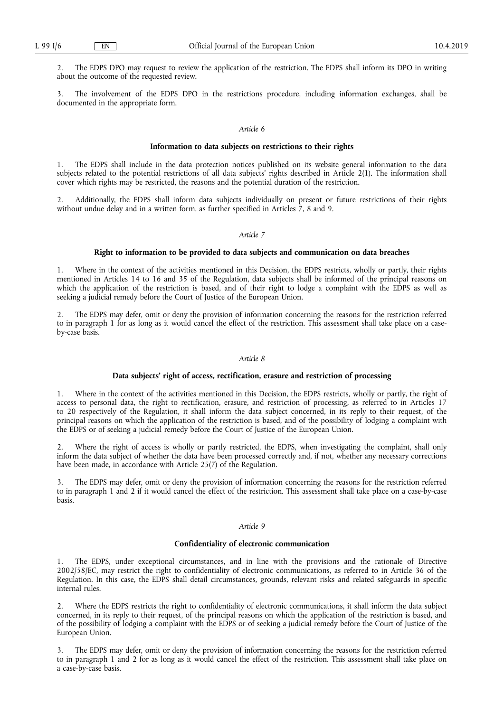2. The EDPS DPO may request to review the application of the restriction. The EDPS shall inform its DPO in writing about the outcome of the requested review.

The involvement of the EDPS DPO in the restrictions procedure, including information exchanges, shall be documented in the appropriate form.

## *Article 6*

#### **Information to data subjects on restrictions to their rights**

1. The EDPS shall include in the data protection notices published on its website general information to the data subjects related to the potential restrictions of all data subjects' rights described in Article 2(1). The information shall cover which rights may be restricted, the reasons and the potential duration of the restriction.

2. Additionally, the EDPS shall inform data subjects individually on present or future restrictions of their rights without undue delay and in a written form, as further specified in Articles  $\dot{7}$ , 8 and 9.

## *Article 7*

# **Right to information to be provided to data subjects and communication on data breaches**

Where in the context of the activities mentioned in this Decision, the EDPS restricts, wholly or partly, their rights mentioned in Articles 14 to 16 and 35 of the Regulation, data subjects shall be informed of the principal reasons on which the application of the restriction is based, and of their right to lodge a complaint with the EDPS as well as seeking a judicial remedy before the Court of Justice of the European Union.

2. The EDPS may defer, omit or deny the provision of information concerning the reasons for the restriction referred to in paragraph 1 for as long as it would cancel the effect of the restriction. This assessment shall take place on a caseby-case basis.

# *Article 8*

# **Data subjects' right of access, rectification, erasure and restriction of processing**

1. Where in the context of the activities mentioned in this Decision, the EDPS restricts, wholly or partly, the right of access to personal data, the right to rectification, erasure, and restriction of processing, as referred to in Articles 17 to 20 respectively of the Regulation, it shall inform the data subject concerned, in its reply to their request, of the principal reasons on which the application of the restriction is based, and of the possibility of lodging a complaint with the EDPS or of seeking a judicial remedy before the Court of Justice of the European Union.

2. Where the right of access is wholly or partly restricted, the EDPS, when investigating the complaint, shall only inform the data subject of whether the data have been processed correctly and, if not, whether any necessary corrections have been made, in accordance with Article 25(7) of the Regulation.

3. The EDPS may defer, omit or deny the provision of information concerning the reasons for the restriction referred to in paragraph 1 and 2 if it would cancel the effect of the restriction. This assessment shall take place on a case-by-case basis.

#### *Article 9*

# **Confidentiality of electronic communication**

1. The EDPS, under exceptional circumstances, and in line with the provisions and the rationale of Directive 2002/58/EC, may restrict the right to confidentiality of electronic communications, as referred to in Article 36 of the Regulation. In this case, the EDPS shall detail circumstances, grounds, relevant risks and related safeguards in specific internal rules.

2. Where the EDPS restricts the right to confidentiality of electronic communications, it shall inform the data subject concerned, in its reply to their request, of the principal reasons on which the application of the restriction is based, and of the possibility of lodging a complaint with the EDPS or of seeking a judicial remedy before the Court of Justice of the European Union.

3. The EDPS may defer, omit or deny the provision of information concerning the reasons for the restriction referred to in paragraph 1 and 2 for as long as it would cancel the effect of the restriction. This assessment shall take place on a case-by-case basis.